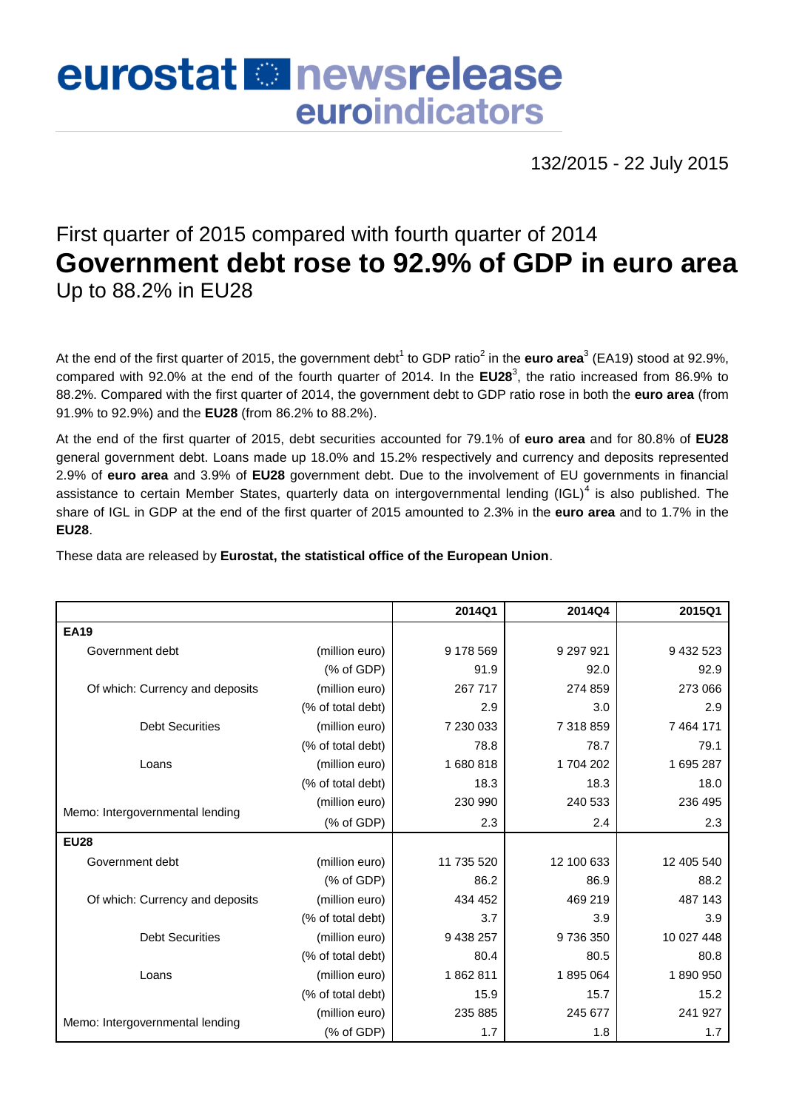## eurostat **E**newsrelease euroindicators

132/2015 - 22 July 2015

## First quarter of 2015 compared with fourth quarter of 2014 **Government debt rose to 92.9% of GDP in euro area** Up to 88.2% in EU28

At the end of the first quarter of 2015, the government debt<sup>1</sup> to GDP ratio<sup>2</sup> in the **euro area**<sup>3</sup> (EA19) stood at 92.9%, compared with 92.0% at the end of the fourth quarter of 2014. In the **EU28** 3 , the ratio increased from 86.9% to 88.2%. Compared with the first quarter of 2014, the government debt to GDP ratio rose in both the **euro area** (from 91.9% to 92.9%) and the **EU28** (from 86.2% to 88.2%).

At the end of the first quarter of 2015, debt securities accounted for 79.1% of **euro area** and for 80.8% of **EU28** general government debt. Loans made up 18.0% and 15.2% respectively and currency and deposits represented 2.9% of **euro area** and 3.9% of **EU28** government debt. Due to the involvement of EU governments in financial assistance to certain Member States, quarterly data on intergovernmental lending (IGL)<sup>4</sup> is also published. The share of IGL in GDP at the end of the first quarter of 2015 amounted to 2.3% in the **euro area** and to 1.7% in the **EU28**.

These data are released by **Eurostat, the statistical office of the European Union**.

|                                 |                           | 2014Q1     | 2014Q4     | 2015Q1       |  |
|---------------------------------|---------------------------|------------|------------|--------------|--|
| <b>EA19</b>                     |                           |            |            |              |  |
| Government debt                 | (million euro)            | 9 178 569  | 9 297 9 21 | 9 432 523    |  |
|                                 | (% of GDP)                | 91.9       | 92.0       | 92.9         |  |
| Of which: Currency and deposits | (million euro)            | 267 717    | 274 859    | 273 066      |  |
|                                 | (% of total debt)         | 2.9        | 3.0        | 2.9          |  |
| <b>Debt Securities</b>          | (million euro)            | 7 230 033  | 7 318 859  | 7 4 64 1 7 1 |  |
|                                 | (% of total debt)         | 78.8       | 78.7       | 79.1         |  |
| Loans                           | 1680818<br>(million euro) |            | 1704202    | 1 695 287    |  |
|                                 | (% of total debt)         | 18.3       | 18.3       | 18.0         |  |
|                                 | (million euro)            | 230 990    | 240 533    | 236 495      |  |
| Memo: Intergovernmental lending | (% of GDP)                | 2.3        | 2.4        | 2.3          |  |
| <b>EU28</b>                     |                           |            |            |              |  |
| Government debt                 | (million euro)            | 11 735 520 | 12 100 633 | 12 405 540   |  |
|                                 | (% of GDP)                | 86.2       | 86.9       | 88.2         |  |
| Of which: Currency and deposits | (million euro)            | 434 452    | 469 219    | 487 143      |  |
|                                 | (% of total debt)         | 3.7        | 3.9        | 3.9          |  |
| <b>Debt Securities</b>          | (million euro)            | 9 438 257  | 9736350    | 10 027 448   |  |
|                                 | (% of total debt)         | 80.4       | 80.5       | 80.8         |  |
| Loans                           | (million euro)            | 1862811    | 1895064    | 1890950      |  |
|                                 | (% of total debt)         | 15.9       | 15.7       | 15.2         |  |
|                                 | (million euro)            | 235 885    | 245 677    | 241 927      |  |
| Memo: Intergovernmental lending | (% of GDP)                | 1.7        | 1.8        | 1.7          |  |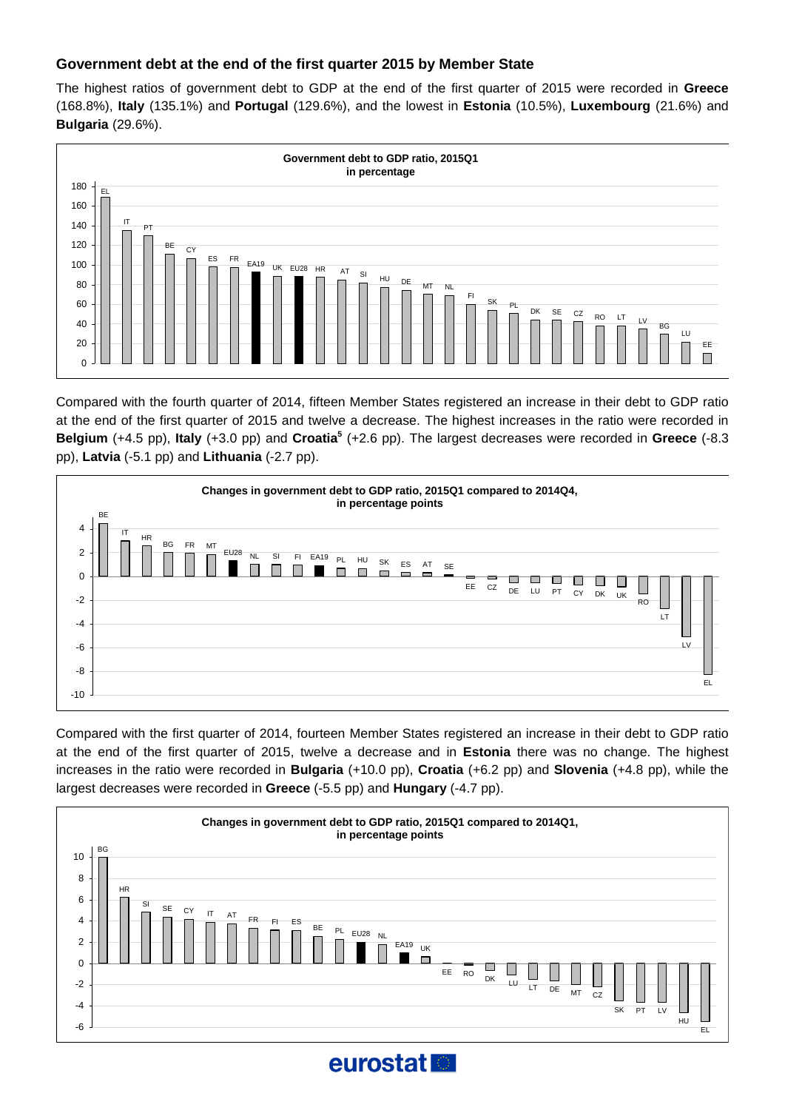## **Government debt at the end of the first quarter 2015 by Member State**

The highest ratios of government debt to GDP at the end of the first quarter of 2015 were recorded in **Greece** (168.8%), **Italy** (135.1%) and **Portugal** (129.6%), and the lowest in **Estonia** (10.5%), **Luxembourg** (21.6%) and **Bulgaria** (29.6%).



Compared with the fourth quarter of 2014, fifteen Member States registered an increase in their debt to GDP ratio at the end of the first quarter of 2015 and twelve a decrease. The highest increases in the ratio were recorded in **Belgium** (+4.5 pp), **Italy** (+3.0 pp) and **Croatia<sup>5</sup>** (+2.6 pp). The largest decreases were recorded in **Greece** (-8.3 pp), **Latvia** (-5.1 pp) and **Lithuania** (-2.7 pp).



Compared with the first quarter of 2014, fourteen Member States registered an increase in their debt to GDP ratio at the end of the first quarter of 2015, twelve a decrease and in **Estonia** there was no change. The highest increases in the ratio were recorded in **Bulgaria** (+10.0 pp), **Croatia** (+6.2 pp) and **Slovenia** (+4.8 pp), while the largest decreases were recorded in **Greece** (-5.5 pp) and **Hungary** (-4.7 pp).



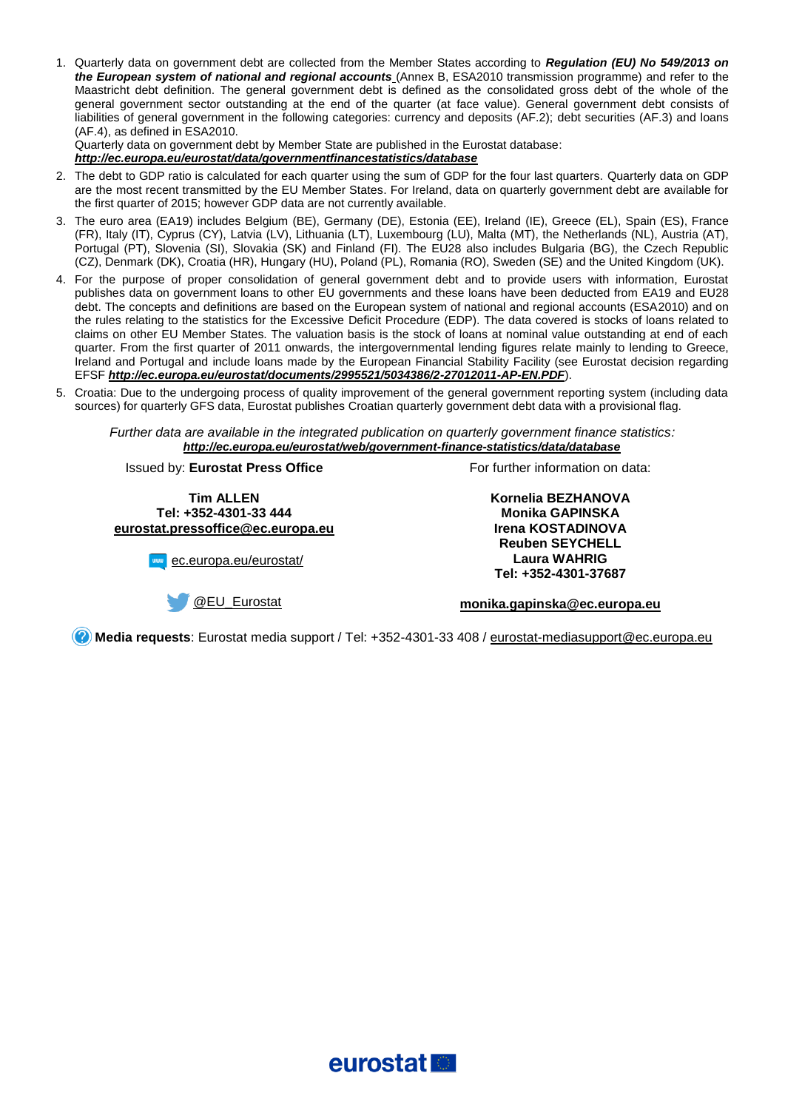1. Quarterly data on government debt are collected from the Member States according to *[Regulation \(EU\) No 549/2013 on](http://ec.europa.eu/eurostat/web/products-manuals-and-guidelines/-/KS-01-13-429-3A-C)  [the European system of national and regional accounts](http://ec.europa.eu/eurostat/web/products-manuals-and-guidelines/-/KS-01-13-429-3A-C)* (Annex B, ESA2010 transmission programme) and refer to the Maastricht debt definition. The general government debt is defined as the consolidated gross debt of the whole of the general government sector outstanding at the end of the quarter (at face value). General government debt consists of liabilities of general government in the following categories: currency and deposits (AF.2); debt securities (AF.3) and loans (AF.4), as defined in ESA2010.

Quarterly data on government debt by Member State are published in the Eurostat database:

*[http://ec.europa.eu/eurostat/data/governmentfinancestatistics/database](http://ec.europa.eu/eurostat/web/government-finance-statistics/data/database)*

- 2. The debt to GDP ratio is calculated for each quarter using the sum of GDP for the four last quarters. Quarterly data on GDP are the most recent transmitted by the EU Member States. For Ireland, data on quarterly government debt are available for the first quarter of 2015; however GDP data are not currently available.
- 3. The euro area (EA19) includes Belgium (BE), Germany (DE), Estonia (EE), Ireland (IE), Greece (EL), Spain (ES), France (FR), Italy (IT), Cyprus (CY), Latvia (LV), Lithuania (LT), Luxembourg (LU), Malta (MT), the Netherlands (NL), Austria (AT), Portugal (PT), Slovenia (SI), Slovakia (SK) and Finland (FI). The EU28 also includes Bulgaria (BG), the Czech Republic (CZ), Denmark (DK), Croatia (HR), Hungary (HU), Poland (PL), Romania (RO), Sweden (SE) and the United Kingdom (UK).
- 4. For the purpose of proper consolidation of general government debt and to provide users with information, Eurostat publishes data on government loans to other EU governments and these loans have been deducted from EA19 and EU28 debt. The concepts and definitions are based on the European system of national and regional accounts (ESA2010) and on the rules relating to the statistics for the Excessive Deficit Procedure (EDP). The data covered is stocks of loans related to claims on other EU Member States. The valuation basis is the stock of loans at nominal value outstanding at end of each quarter. From the first quarter of 2011 onwards, the intergovernmental lending figures relate mainly to lending to Greece, Ireland and Portugal and include loans made by the European Financial Stability Facility (see Eurostat decision regarding EFSF *<http://ec.europa.eu/eurostat/documents/2995521/5034386/2-27012011-AP-EN.PDF>*).
- 5. Croatia: Due to the undergoing process of quality improvement of the general government reporting system (including data sources) for quarterly GFS data, Eurostat publishes Croatian quarterly government debt data with a provisional flag.

*Further data are available in the integrated publication on quarterly government finance statistics: <http://ec.europa.eu/eurostat/web/government-finance-statistics/data/database>*

Issued by: **Eurostat Press Office**

**Tim ALLEN Tel: +352-4301-33 444 [eurostat.pressoffice@ec.europa.eu](mailto:eurostat.pressoffice@ec.europa.eu)**

**WWW** [ec.europa.eu/eurostat/](http://ec.europa.eu/eurostat/)

[@EU\\_Eurostat](http://twitter.com/EU_Eurostat)

For further information on data:

**Kornelia BEZHANOVA Monika GAPINSKA Irena KOSTADINOVA Reuben SEYCHELL Laura WAHRIG Tel: +352-4301-37687**

**[monika.gapinska@ec.europa.eu](mailto:monika.gapinska@ec.europa.eu)**

**Media requests**: Eurostat media support / Tel: +352-4301-33 408 / [eurostat-mediasupport@ec.europa.eu](mailto:eurostat-mediasupport@ec.europa.eu)